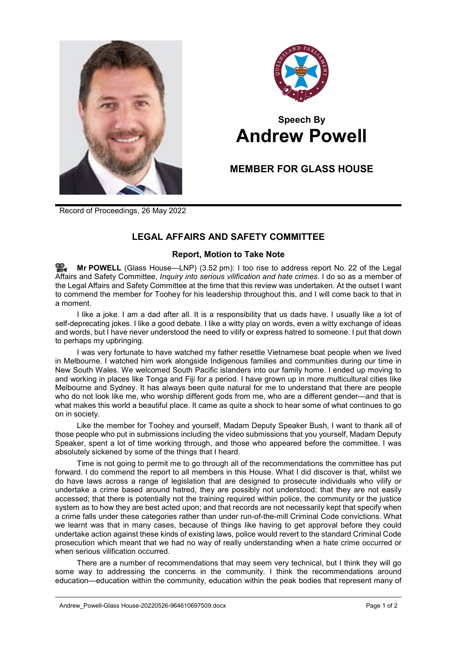



## **Speech By Andrew Powell**

## **MEMBER FOR GLASS HOUSE**

Record of Proceedings, 26 May 2022

## **LEGAL AFFAIRS AND SAFETY COMMITTEE**

## **Report, Motion to Take Note**

**Mr [POWELL](http://www.parliament.qld.gov.au/docs/find.aspx?id=0Mba20220526_155248)** (Glass House—LNP) (3.52 pm): I too rise to address report No. 22 of the Legal Affairs and Safety Committee, *Inquiry into serious vilification and hate crimes*. I do so as a member of the Legal Affairs and Safety Committee at the time that this review was undertaken. At the outset I want to commend the member for Toohey for his leadership throughout this, and I will come back to that in a moment.

I like a joke. I am a dad after all. It is a responsibility that us dads have. I usually like a lot of self-deprecating jokes. I like a good debate. I like a witty play on words, even a witty exchange of ideas and words, but I have never understood the need to vilify or express hatred to someone. I put that down to perhaps my upbringing.

I was very fortunate to have watched my father resettle Vietnamese boat people when we lived in Melbourne. I watched him work alongside Indigenous families and communities during our time in New South Wales. We welcomed South Pacific islanders into our family home. I ended up moving to and working in places like Tonga and Fiji for a period. I have grown up in more multicultural cities like Melbourne and Sydney. It has always been quite natural for me to understand that there are people who do not look like me, who worship different gods from me, who are a different gender—and that is what makes this world a beautiful place. It came as quite a shock to hear some of what continues to go on in society.

Like the member for Toohey and yourself, Madam Deputy Speaker Bush, I want to thank all of those people who put in submissions including the video submissions that you yourself, Madam Deputy Speaker, spent a lot of time working through, and those who appeared before the committee. I was absolutely sickened by some of the things that I heard.

Time is not going to permit me to go through all of the recommendations the committee has put forward. I do commend the report to all members in this House. What I did discover is that, whilst we do have laws across a range of legislation that are designed to prosecute individuals who vilify or undertake a crime based around hatred, they are possibly not understood; that they are not easily accessed; that there is potentially not the training required within police, the community or the justice system as to how they are best acted upon; and that records are not necessarily kept that specify when a crime falls under these categories rather than under run-of-the-mill Criminal Code convictions. What we learnt was that in many cases, because of things like having to get approval before they could undertake action against these kinds of existing laws, police would revert to the standard Criminal Code prosecution which meant that we had no way of really understanding when a hate crime occurred or when serious vilification occurred.

There are a number of recommendations that may seem very technical, but I think they will go some way to addressing the concerns in the community. I think the recommendations around education—education within the community, education within the peak bodies that represent many of